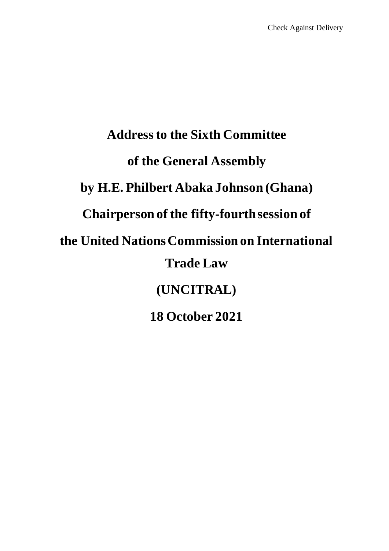# **Address to the Sixth Committee of the General Assembly by H.E. Philbert Abaka Johnson (Ghana) Chairperson of the fifty-fourthsession of the United Nations Commission on International Trade Law (UNCITRAL) 18 October 2021**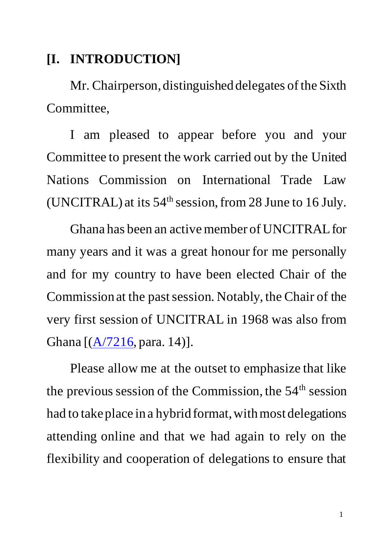#### **[I. INTRODUCTION]**

Mr. Chairperson, distinguished delegates of the Sixth Committee,

I am pleased to appear before you and your Committee to present the work carried out by the United Nations Commission on International Trade Law (UNCITRAL) at its  $54<sup>th</sup>$  session, from 28 June to 16 July.

Ghana has been an active member of UNCITRAL for many years and it was a great honour for me personally and for my country to have been elected Chair of the Commission at the past session. Notably, the Chair of the very first session of UNCITRAL in 1968 was also from Ghana  $[(A/7216, para. 14)].$ 

Please allow me at the outset to emphasize that like the previous session of the Commission, the  $54<sup>th</sup>$  session had to take place in a hybrid format, with most delegations attending online and that we had again to rely on the flexibility and cooperation of delegations to ensure that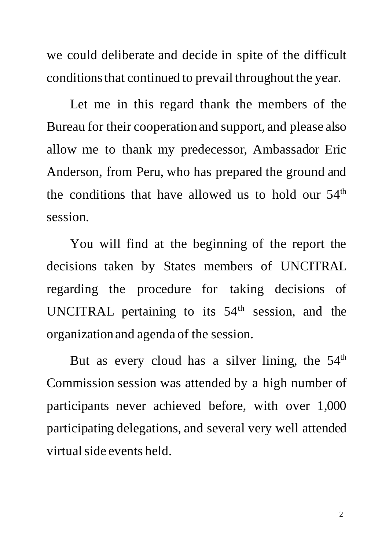we could deliberate and decide in spite of the difficult conditions that continued to prevail throughout the year.

Let me in this regard thank the members of the Bureau for their cooperation and support, and please also allow me to thank my predecessor, Ambassador Eric Anderson, from Peru, who has prepared the ground and the conditions that have allowed us to hold our  $54<sup>th</sup>$ session.

You will find at the beginning of the report the decisions taken by States members of UNCITRAL regarding the procedure for taking decisions of UNCITRAL pertaining to its 54<sup>th</sup> session, and the organization and agenda of the session.

But as every cloud has a silver lining, the  $54<sup>th</sup>$ Commission session was attended by a high number of participants never achieved before, with over 1,000 participating delegations, and several very well attended virtual side events held.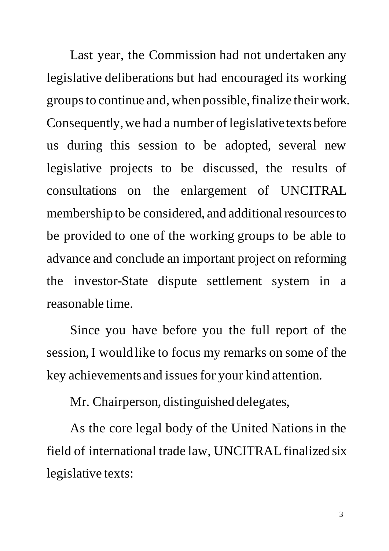Last year, the Commission had not undertaken any legislative deliberations but had encouraged its working groups to continue and, when possible,finalize their work. Consequently, we had a number of legislative texts before us during this session to be adopted, several new legislative projects to be discussed, the results of consultations on the enlargement of UNCITRAL membership to be considered, and additional resources to be provided to one of the working groups to be able to advance and conclude an important project on reforming the investor-State dispute settlement system in a reasonable time.

Since you have before you the full report of the session, I would like to focus my remarks on some of the key achievements and issues for your kind attention.

Mr. Chairperson, distinguished delegates,

As the core legal body of the United Nations in the field of international trade law, UNCITRAL finalized six legislative texts: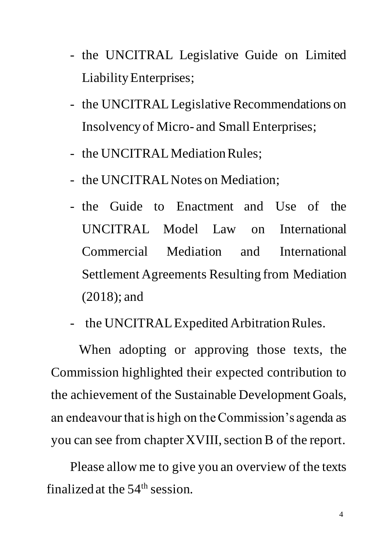- the UNCITRAL Legislative Guide on Limited Liability Enterprises;
- the UNCITRAL Legislative Recommendations on Insolvency of Micro- and Small Enterprises;
- the UNCITRAL Mediation Rules;
- the UNCITRAL Notes on Mediation;
- the Guide to Enactment and Use of the UNCITRAL Model Law on International Commercial Mediation and International Settlement Agreements Resulting from Mediation (2018); and
- the UNCITRAL Expedited Arbitration Rules.

When adopting or approving those texts, the Commission highlighted their expected contribution to the achievement of the Sustainable Development Goals, an endeavour that is high on the Commission's agenda as you can see from chapter XVIII, section B of the report.

Please allow me to give you an overview of the texts finalized at the  $54<sup>th</sup>$  session.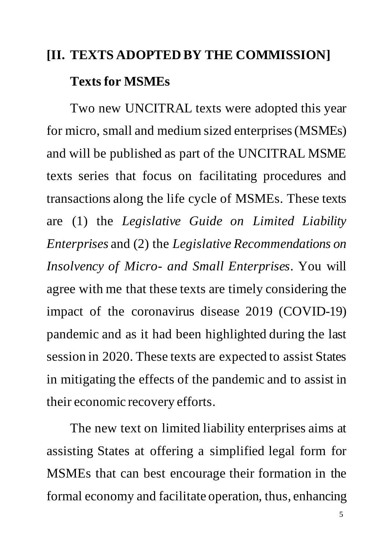## **[II. TEXTS ADOPTED BY THE COMMISSION] Texts for MSMEs**

Two new UNCITRAL texts were adopted this year for micro, small and medium sized enterprises (MSMEs) and will be published as part of the UNCITRAL MSME texts series that focus on facilitating procedures and transactions along the life cycle of MSMEs. These texts are (1) the *Legislative Guide on Limited Liability Enterprises* and (2) the *Legislative Recommendations on Insolvency of Micro- and Small Enterprises*. You will agree with me that these texts are timely considering the impact of the coronavirus disease 2019 (COVID-19) pandemic and as it had been highlighted during the last session in 2020. These texts are expected to assist States in mitigating the effects of the pandemic and to assist in their economic recovery efforts.

The new text on limited liability enterprises aims at assisting States at offering a simplified legal form for MSMEs that can best encourage their formation in the formal economy and facilitate operation, thus, enhancing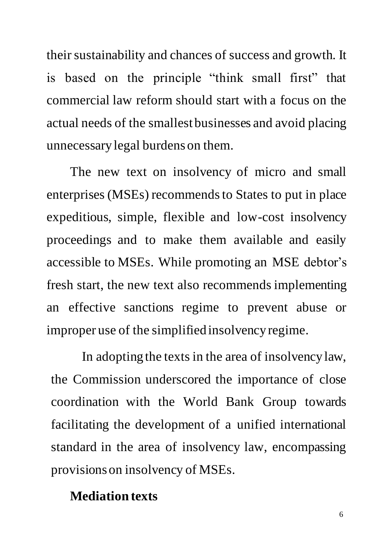their sustainability and chances of success and growth. It is based on the principle "think small first" that commercial law reform should start with a focus on the actual needs of the smallest businesses and avoid placing unnecessary legal burdens on them.

The new text on insolvency of micro and small enterprises (MSEs) recommends to States to put in place expeditious, simple, flexible and low-cost insolvency proceedings and to make them available and easily accessible to MSEs. While promoting an MSE debtor's fresh start, the new text also recommends implementing an effective sanctions regime to prevent abuse or improper use of the simplified insolvency regime.

In adopting the texts in the area of insolvency law, the Commission underscored the importance of close coordination with the World Bank Group towards facilitating the development of a unified international standard in the area of insolvency law, encompassing provisions on insolvency of MSEs.

#### **Mediation texts**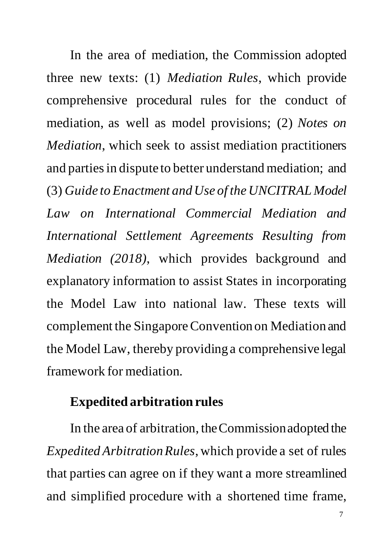In the area of mediation, the Commission adopted three new texts: (1) *Mediation Rules*, which provide comprehensive procedural rules for the conduct of mediation, as well as model provisions; (2) *Notes on Mediation*, which seek to assist mediation practitioners and parties in dispute to better understand mediation; and (3) *Guide to Enactment and Use of the UNCITRAL Model Law on International Commercial Mediation and International Settlement Agreements Resulting from Mediation (2018)*, which provides background and explanatory information to assist States in incorporating the Model Law into national law. These texts will complement the Singapore Convention on Mediation and the Model Law, thereby providing a comprehensive legal framework for mediation.

#### **Expedited arbitration rules**

In the area of arbitration, the Commission adopted the *Expedited Arbitration Rules*, which provide a set of rules that parties can agree on if they want a more streamlined and simplified procedure with a shortened time frame,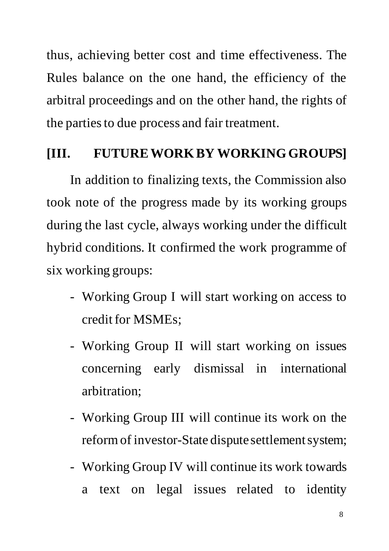thus, achieving better cost and time effectiveness. The Rules balance on the one hand, the efficiency of the arbitral proceedings and on the other hand, the rights of the parties to due process and fair treatment.

#### **[III. FUTURE WORKBY WORKING GROUPS]**

In addition to finalizing texts, the Commission also took note of the progress made by its working groups during the last cycle, always working under the difficult hybrid conditions. It confirmed the work programme of six working groups:

- Working Group I will start working on access to credit for MSMEs;
- Working Group II will start working on issues concerning early dismissal in international arbitration;
- Working Group III will continue its work on the reform of investor-State dispute settlement system;
- Working Group IV will continue its work towards a text on legal issues related to identity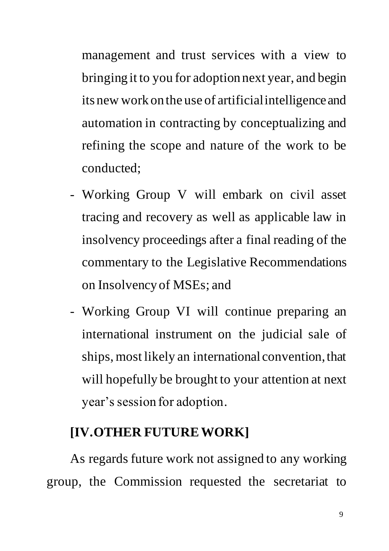management and trust services with a view to bringing it to you for adoption next year, and begin its new work on the use of artificial intelligence and automation in contracting by conceptualizing and refining the scope and nature of the work to be conducted;

- Working Group V will embark on civil asset tracing and recovery as well as applicable law in insolvency proceedings after a final reading of the commentary to the Legislative Recommendations on Insolvency of MSEs; and
- Working Group VI will continue preparing an international instrument on the judicial sale of ships, most likely an international convention, that will hopefully be brought to your attention at next year's session for adoption.

#### **[IV.OTHER FUTURE WORK]**

As regards future work not assigned to any working group, the Commission requested the secretariat to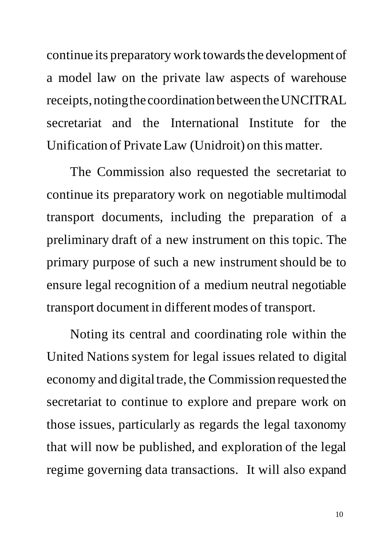continue its preparatory work towards the development of a model law on the private law aspects of warehouse receipts, noting the coordination between the UNCITRAL secretariat and the International Institute for the Unification of Private Law (Unidroit) on this matter.

The Commission also requested the secretariat to continue its preparatory work on negotiable multimodal transport documents, including the preparation of a preliminary draft of a new instrument on this topic. The primary purpose of such a new instrument should be to ensure legal recognition of a medium neutral negotiable transport document in different modes of transport.

Noting its central and coordinating role within the United Nations system for legal issues related to digital economy and digital trade, the Commission requested the secretariat to continue to explore and prepare work on those issues, particularly as regards the legal taxonomy that will now be published, and exploration of the legal regime governing data transactions. It will also expand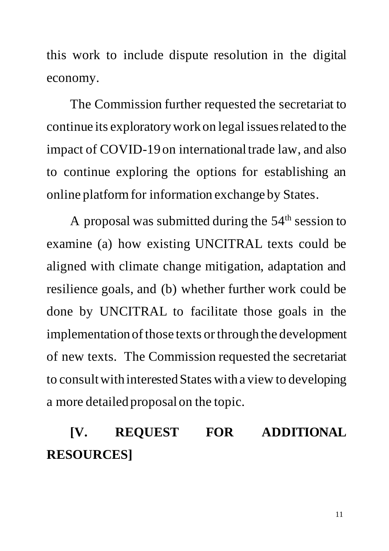this work to include dispute resolution in the digital economy.

The Commission further requested the secretariat to continue its exploratorywork on legal issues related to the impact of COVID-19 on international trade law, and also to continue exploring the options for establishing an online platform for information exchange by States.

A proposal was submitted during the  $54<sup>th</sup>$  session to examine (a) how existing UNCITRAL texts could be aligned with climate change mitigation, adaptation and resilience goals, and (b) whether further work could be done by UNCITRAL to facilitate those goals in the implementation of those texts or through the development of new texts. The Commission requested the secretariat to consult with interested States with a view to developing a more detailed proposal on the topic.

### **[V. REQUEST FOR ADDITIONAL RESOURCES]**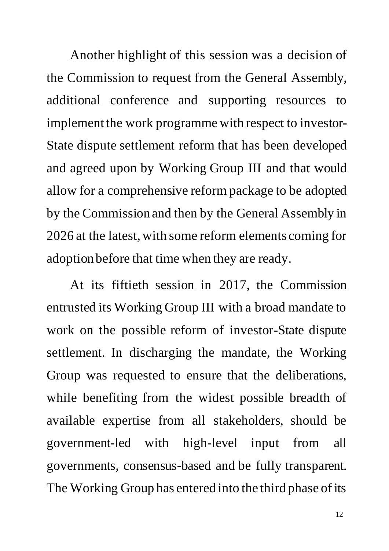Another highlight of this session was a decision of the Commission to request from the General Assembly, additional conference and supporting resources to implement the work programme with respect to investor-State dispute settlement reform that has been developed and agreed upon by Working Group III and that would allow for a comprehensive reform package to be adopted by the Commission and then by the General Assembly in 2026 at the latest, with some reform elements coming for adoption before that time when they are ready.

At its fiftieth session in 2017, the Commission entrusted its Working Group III with a broad mandate to work on the possible reform of investor-State dispute settlement. In discharging the mandate, the Working Group was requested to ensure that the deliberations, while benefiting from the widest possible breadth of available expertise from all stakeholders, should be government-led with high-level input from all governments, consensus-based and be fully transparent. The Working Group has entered into the third phase of its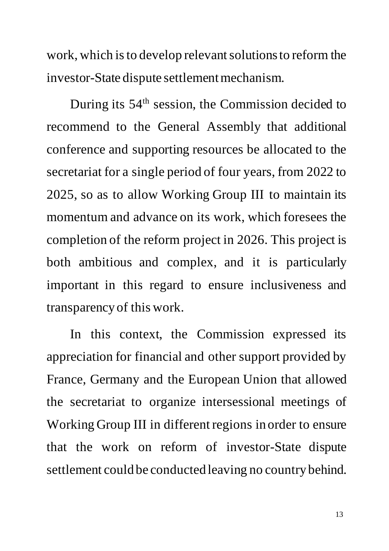work, which is to develop relevant solutions to reform the investor-State dispute settlement mechanism.

During its 54<sup>th</sup> session, the Commission decided to recommend to the General Assembly that additional conference and supporting resources be allocated to the secretariat for a single period of four years, from 2022 to 2025, so as to allow Working Group III to maintain its momentum and advance on its work, which foresees the completion of the reform project in 2026. This project is both ambitious and complex, and it is particularly important in this regard to ensure inclusiveness and transparency of this work.

In this context, the Commission expressed its appreciation for financial and other support provided by France, Germany and the European Union that allowed the secretariat to organize intersessional meetings of Working Group III in different regions in order to ensure that the work on reform of investor-State dispute settlement could be conducted leaving no country behind.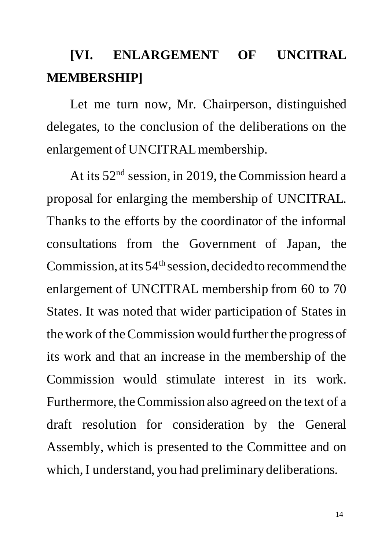### **[VI. ENLARGEMENT OF UNCITRAL MEMBERSHIP]**

Let me turn now, Mr. Chairperson, distinguished delegates, to the conclusion of the deliberations on the enlargement of UNCITRAL membership.

At its 52<sup>nd</sup> session, in 2019, the Commission heard a proposal for enlarging the membership of UNCITRAL. Thanks to the efforts by the coordinator of the informal consultations from the Government of Japan, the Commission, at its  $54<sup>th</sup>$  session, decided to recommend the enlargement of UNCITRAL membership from 60 to 70 States. It was noted that wider participation of States in the work of the Commission would further the progress of its work and that an increase in the membership of the Commission would stimulate interest in its work. Furthermore, the Commission also agreed on the text of a draft resolution for consideration by the General Assembly, which is presented to the Committee and on which, I understand, you had preliminary deliberations.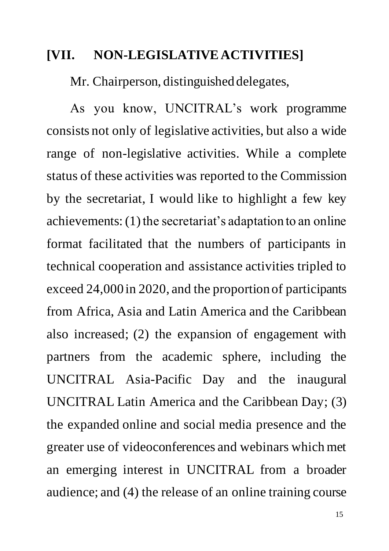#### **[VII. NON-LEGISLATIVE ACTIVITIES]**

Mr. Chairperson, distinguished delegates,

As you know, UNCITRAL's work programme consists not only of legislative activities, but also a wide range of non-legislative activities. While a complete status of these activities was reported to the Commission by the secretariat, I would like to highlight a few key achievements: (1) the secretariat's adaptation to an online format facilitated that the numbers of participants in technical cooperation and assistance activities tripled to exceed 24,000 in 2020, and the proportion of participants from Africa, Asia and Latin America and the Caribbean also increased; (2) the expansion of engagement with partners from the academic sphere, including the UNCITRAL Asia-Pacific Day and the inaugural UNCITRAL Latin America and the Caribbean Day; (3) the expanded online and social media presence and the greater use of videoconferences and webinars which met an emerging interest in UNCITRAL from a broader audience; and (4) the release of an online training course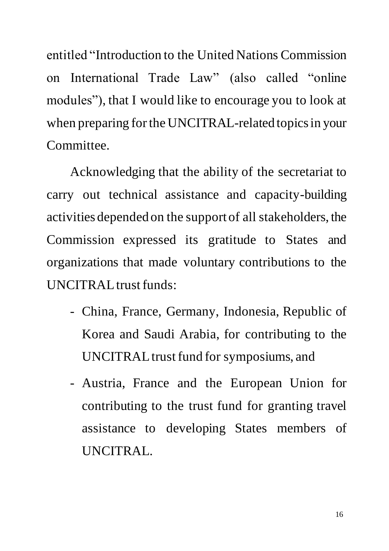entitled "Introduction to the United Nations Commission on International Trade Law" (also called "online modules"), that I would like to encourage you to look at when preparing for the UNCITRAL-related topics in your Committee.

Acknowledging that the ability of the secretariat to carry out technical assistance and capacity-building activities depended on the support of all stakeholders, the Commission expressed its gratitude to States and organizations that made voluntary contributions to the UNCITRAL trust funds:

- China, France, Germany, Indonesia, Republic of Korea and Saudi Arabia, for contributing to the UNCITRAL trust fund for symposiums, and
- Austria, France and the European Union for contributing to the trust fund for granting travel assistance to developing States members of UNCITRAL.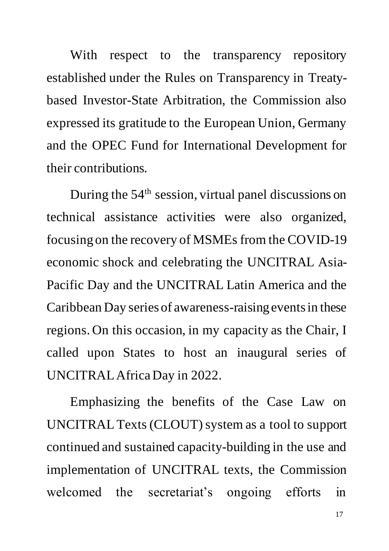With respect to the transparency repository established under the Rules on Transparency in Treatybased Investor-State Arbitration, the Commission also expressed its gratitude to the European Union, Germany and the OPEC Fund for International Development for their contributions.

During the  $54<sup>th</sup>$  session, virtual panel discussions on technical assistance activities were also organized, focusing on the recovery of MSMEs from the COVID-19 economic shock and celebrating the UNCITRAL Asia-Pacific Day and the UNCITRAL Latin America and the Caribbean Day series of awareness-raising events in these regions. On this occasion, in my capacity as the Chair, I called upon States to host an inaugural series of UNCITRAL Africa Day in 2022.

Emphasizing the benefits of the Case Law on UNCITRAL Texts (CLOUT) system as a tool to support continued and sustained capacity-building in the use and implementation of UNCITRAL texts, the Commission welcomed the secretariat's ongoing efforts in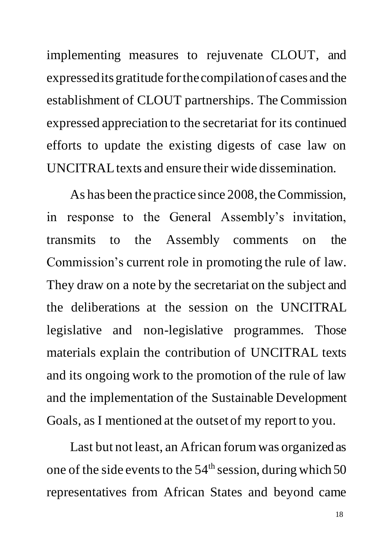implementing measures to rejuvenate CLOUT, and expressed its gratitude for the compilation of cases and the establishment of CLOUT partnerships. The Commission expressed appreciation to the secretariat for its continued efforts to update the existing digests of case law on UNCITRAL texts and ensure their wide dissemination.

As has been the practice since 2008, the Commission, in response to the General Assembly's invitation, transmits to the Assembly comments on the Commission's current role in promoting the rule of law. They draw on a note by the secretariat on the subject and the deliberations at the session on the UNCITRAL legislative and non-legislative programmes. Those materials explain the contribution of UNCITRAL texts and its ongoing work to the promotion of the rule of law and the implementation of the Sustainable Development Goals, as I mentioned at the outset of my report to you.

Last but not least, an African forum was organized as one of the side events to the  $54<sup>th</sup>$  session, during which 50 representatives from African States and beyond came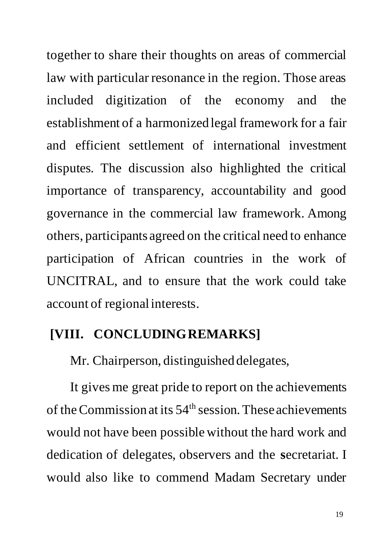together to share their thoughts on areas of commercial law with particular resonance in the region. Those areas included digitization of the economy and the establishment of a harmonized legal framework for a fair and efficient settlement of international investment disputes. The discussion also highlighted the critical importance of transparency, accountability and good governance in the commercial law framework. Among others, participants agreed on the critical need to enhance participation of African countries in the work of UNCITRAL, and to ensure that the work could take account of regional interests.

#### **[VIII. CONCLUDING REMARKS]**

Mr. Chairperson, distinguished delegates,

It gives me great pride to report on the achievements of the Commission at its  $54<sup>th</sup>$  session. These achievements would not have been possible without the hard work and dedication of delegates, observers and the **s**ecretariat. I would also like to commend Madam Secretary under